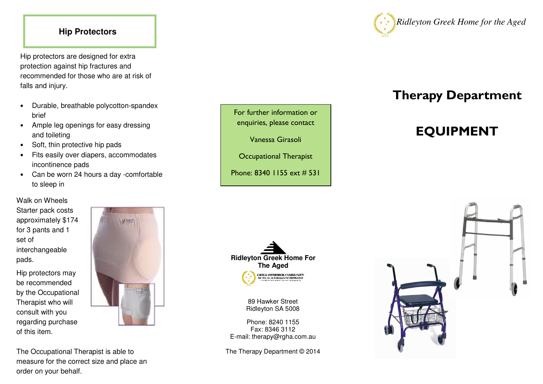### **Hip Protectors**

Hip protectors are designed for extra protection against hip fractures and recommended for those who are at risk of falls and injury.

- Durable, breathable polycotton-spandex brief
- Ample leg openings for easy dressing and toileting
- Soft, thin protective hip pads
- Fits easily over diapers, accommodates incontinence pads
- Can be worn 24 hours a day -comfortable to sleep in

# Walk on Wheels

Starter pack costs approximately \$174 for 3 pants and 1 set of interchangeable pads.

Hip protectors may be recommended by the Occupational Therapist who will consult with you regarding purchase of this item.



The Occupational Therapist is able to measure for the correct size and place an order on your behalf.





For further information or enquiries, please contact

Vanessa Girasoli

Occupational Therapist



89 Hawker Street Ridleyton SA 5008

Phone: 8240 1155 Fax: 8346 3112 E-mail: therapy@rgha.com.au

The Therapy Department © 2014



# Therapy Department

# EQUIPMENT